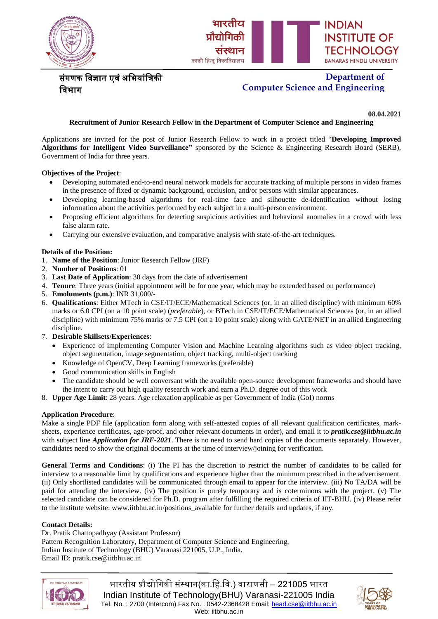



# संगणक विज्ञान एवं अभियांत्रिकी विभाग

# **Department of Computer Science and Engineering**

**08.04.2021**

### **Recruitment of Junior Research Fellow in the Department of Computer Science and Engineering**

Applications are invited for the post of Junior Research Fellow to work in a project titled "**Developing Improved Algorithms for Intelligent Video Surveillance"** sponsored by the Science & Engineering Research Board (SERB), Government of India for three years.

#### **Objectives of the Project**:

- Developing automated end-to-end neural network models for accurate tracking of multiple persons in video frames in the presence of fixed or dynamic background, occlusion, and/or persons with similar appearances.
- Developing learning-based algorithms for real-time face and silhouette de-identification without losing information about the activities performed by each subject in a multi-person environment.
- Proposing efficient algorithms for detecting suspicious activities and behavioral anomalies in a crowd with less false alarm rate.
- Carrying our extensive evaluation, and comparative analysis with state-of-the-art techniques.

#### **Details of the Position:**

- 1. **Name of the Position**: Junior Research Fellow (JRF)
- 2. **Number of Positions**: 01
- 3. **Last Date of Application**: 30 days from the date of advertisement
- 4. **Tenure**: Three years (initial appointment will be for one year, which may be extended based on performance)
- 5. **Emoluments (p.m.)**: INR 31,000/-
- 6. **Qualifications**: Either MTech in CSE/IT/ECE/Mathematical Sciences (or, in an allied discipline) with minimum 60% marks or 6.0 CPI (on a 10 point scale) (*preferable*), or BTech in CSE/IT/ECE/Mathematical Sciences (or, in an allied discipline) with minimum 75% marks or 7.5 CPI (on a 10 point scale) along with GATE/NET in an allied Engineering discipline.
- 7. **Desirable Skillsets/Experiences**:
	- Experience of implementing Computer Vision and Machine Learning algorithms such as video object tracking, object segmentation, image segmentation, object tracking, multi-object tracking
	- Knowledge of OpenCV, Deep Learning frameworks (preferable)
	- Good communication skills in English
	- The candidate should be well conversant with the available open-source development frameworks and should have the intent to carry out high quality research work and earn a Ph.D. degree out of this work
- 8. **Upper Age Limit**: 28 years. Age relaxation applicable as per Government of India (GoI) norms

### **Application Procedure**:

Make a single PDF file (application form along with self-attested copies of all relevant qualification certificates, marksheets, experience certificates, age-proof, and other relevant documents in order), and email it to *pratik.cse@iitbhu.ac.in* with subject line *Application for JRF-2021*. There is no need to send hard copies of the documents separately. However, candidates need to show the original documents at the time of interview/joining for verification.

**General Terms and Conditions**: (i) The PI has the discretion to restrict the number of candidates to be called for interview to a reasonable limit by qualifications and experience higher than the minimum prescribed in the advertisement. (ii) Only shortlisted candidates will be communicated through email to appear for the interview. (iii) No TA/DA will be paid for attending the interview. (iv) The position is purely temporary and is coterminous with the project. (v) The selected candidate can be considered for Ph.D. program after fulfilling the required criteria of IIT-BHU. (iv) Please refer to the institute website: www.iitbhu.ac.in/positions\_available for further details and updates, if any.

#### **Contact Details:**

Dr. Pratik Chattopadhyay (Assistant Professor) Pattern Recognition Laboratory, Department of Computer Science and Engineering, Indian Institute of Technology (BHU) Varanasi 221005, U.P., India. Email ID: pratik.cse@iitbhu.ac.in



भारतीय प्रौद्योगिकी संस्थान(का.हि.वि.) वाराणसी – 221005 भारत Indian Institute of Technology(BHU) Varanasi-221005 India Tel. No.: 2700 (Intercom) Fax No.: 0542-2368428 Email[: head.cse@iitbhu.ac.in](mailto:head.cse@iitbhu.ac.in) Web: iitbhu.ac.in

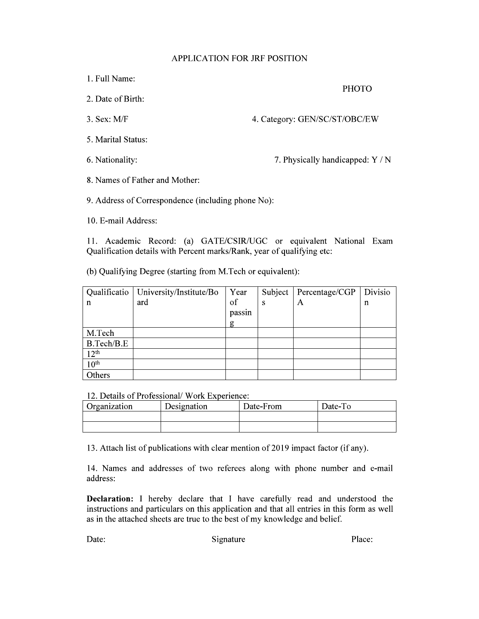## **APPLICATION FOR JRF POSITION**

1. Full Name:

**PHOTO** 

- 2. Date of Birth:
- $3.$  Sex: M/F

4. Category: GEN/SC/ST/OBC/EW

- 5. Marital Status:
- 6. Nationality:

7. Physically handicapped: Y / N

8. Names of Father and Mother:

9. Address of Correspondence (including phone No):

10. E-mail Address:

11. Academic Record: (a) GATE/CSIR/UGC or equivalent National Exam Qualification details with Percent marks/Rank, year of qualifying etc:

(b) Qualifying Degree (starting from M.Tech or equivalent):

|                  | Qualificatio   University/Institute/Bo | Year   | Subject | Percentage/CGP | Divisio     |
|------------------|----------------------------------------|--------|---------|----------------|-------------|
| $\mathsf{n}$     | ard                                    | of     | S       | A              | $\mathbf n$ |
|                  |                                        | passin |         |                |             |
|                  |                                        | g      |         |                |             |
| M.Tech           |                                        |        |         |                |             |
| B.Tech/B.E       |                                        |        |         |                |             |
| 12 <sup>th</sup> |                                        |        |         |                |             |
| 10 <sup>th</sup> |                                        |        |         |                |             |
| Others           |                                        |        |         |                |             |

12. Details of Professional/ Work Experience:

| Organization | Designation | Date-From | Date-To |
|--------------|-------------|-----------|---------|
|              |             |           |         |
|              |             |           |         |

13. Attach list of publications with clear mention of 2019 impact factor (if any).

14. Names and addresses of two referees along with phone number and e-mail address:

Declaration: I hereby declare that I have carefully read and understood the instructions and particulars on this application and that all entries in this form as well as in the attached sheets are true to the best of my knowledge and belief.

Date:

Signature

Place: